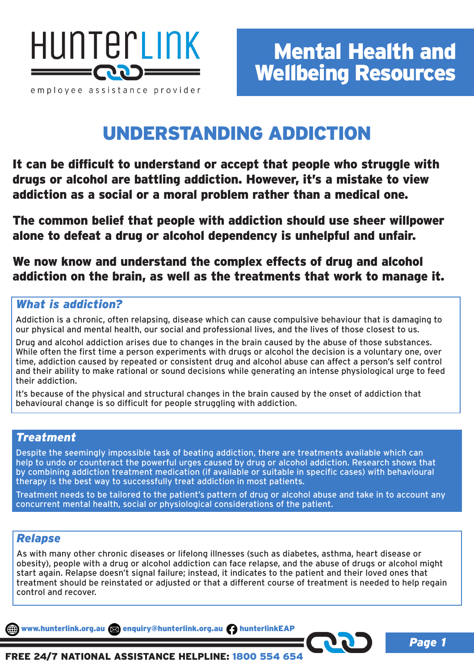

## UNDERSTANDING ADDICTION

It can be difficult to understand or accept that people who struggle with drugs or alcohol are battling addiction. However, it's a mistake to view addiction as a social or a moral problem rather than a medical one.

The common belief that people with addiction should use sheer willpower alone to defeat a drug or alcohol dependency is unhelpful and unfair.

We now know and understand the complex effects of drug and alcohol addiction on the brain, as well as the treatments that work to manage it.

## *What is addiction?*

Addiction is a chronic, often relapsing, disease which can cause compulsive behaviour that is damaging to our physical and mental health, our social and professional lives, and the lives of those closest to us.

Drug and alcohol addiction arises due to changes in the brain caused by the abuse of those substances. While often the first time a person experiments with drugs or alcohol the decision is a voluntary one, over time, addiction caused by repeated or consistent drug and alcohol abuse can affect a person's self control and their ability to make rational or sound decisions while generating an intense physiological urge to feed their addiction.

It's because of the physical and structural changes in the brain caused by the onset of addiction that behavioural change is so difficult for people struggling with addiction.

#### *Treatment*

Despite the seemingly impossible task of beating addiction, there are treatments available which can help to undo or counteract the powerful urges caused by drug or alcohol addiction. Research shows that by combining addiction treatment medication (if available or suitable in specific cases) with behavioural therapy is the best way to successfully treat addiction in most patients.

Treatment needs to be tailored to the patient's pattern of drug or alcohol abuse and take in to account any concurrent mental health, social or physiological considerations of the patient.

### *Relapse*

As with many other chronic diseases or lifelong illnesses (such as diabetes, asthma, heart disease or obesity), people with a drug or alcohol addiction can face relapse, and the abuse of drugs or alcohol might start again. Relapse doesn't signal failure; instead, it indicates to the patient and their loved ones that treatment should be reinstated or adjusted or that a different course of treatment is needed to help regain control and recover.

www.hunterlink.org.au a enquiry@hunterlink.org.au hunterlinkEAP

*Page 1*